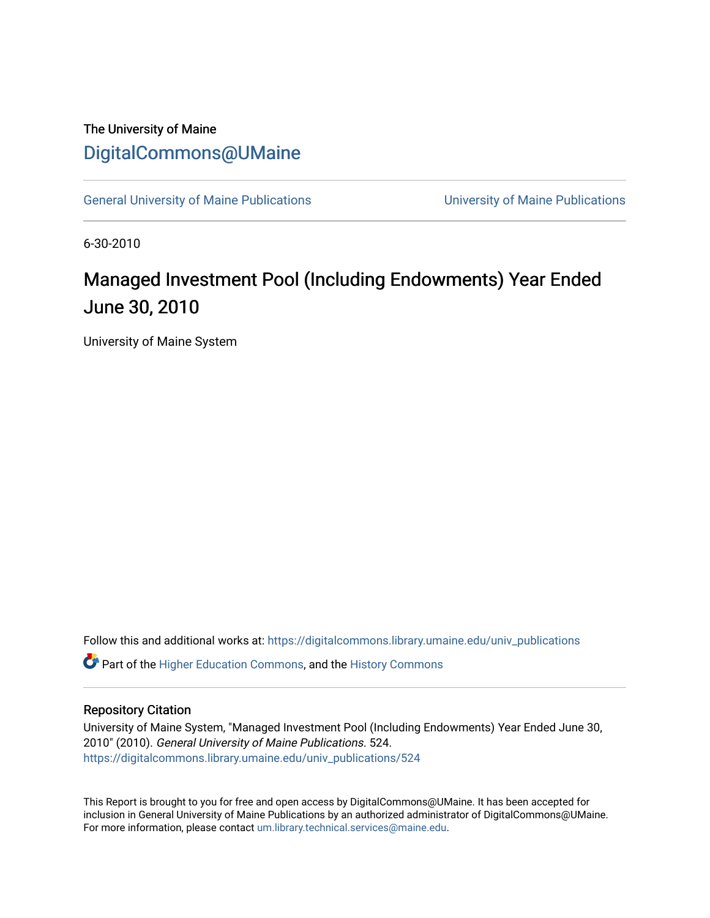## The University of Maine [DigitalCommons@UMaine](https://digitalcommons.library.umaine.edu/)

[General University of Maine Publications](https://digitalcommons.library.umaine.edu/univ_publications) [University of Maine Publications](https://digitalcommons.library.umaine.edu/umaine_publications) 

6-30-2010

# Managed Investment Pool (Including Endowments) Year Ended June 30, 2010

University of Maine System

Follow this and additional works at: [https://digitalcommons.library.umaine.edu/univ\\_publications](https://digitalcommons.library.umaine.edu/univ_publications?utm_source=digitalcommons.library.umaine.edu%2Funiv_publications%2F524&utm_medium=PDF&utm_campaign=PDFCoverPages) 

**C** Part of the [Higher Education Commons,](http://network.bepress.com/hgg/discipline/1245?utm_source=digitalcommons.library.umaine.edu%2Funiv_publications%2F524&utm_medium=PDF&utm_campaign=PDFCoverPages) and the [History Commons](http://network.bepress.com/hgg/discipline/489?utm_source=digitalcommons.library.umaine.edu%2Funiv_publications%2F524&utm_medium=PDF&utm_campaign=PDFCoverPages)

#### Repository Citation

University of Maine System, "Managed Investment Pool (Including Endowments) Year Ended June 30, 2010" (2010). General University of Maine Publications. 524. [https://digitalcommons.library.umaine.edu/univ\\_publications/524](https://digitalcommons.library.umaine.edu/univ_publications/524?utm_source=digitalcommons.library.umaine.edu%2Funiv_publications%2F524&utm_medium=PDF&utm_campaign=PDFCoverPages) 

This Report is brought to you for free and open access by DigitalCommons@UMaine. It has been accepted for inclusion in General University of Maine Publications by an authorized administrator of DigitalCommons@UMaine. For more information, please contact [um.library.technical.services@maine.edu](mailto:um.library.technical.services@maine.edu).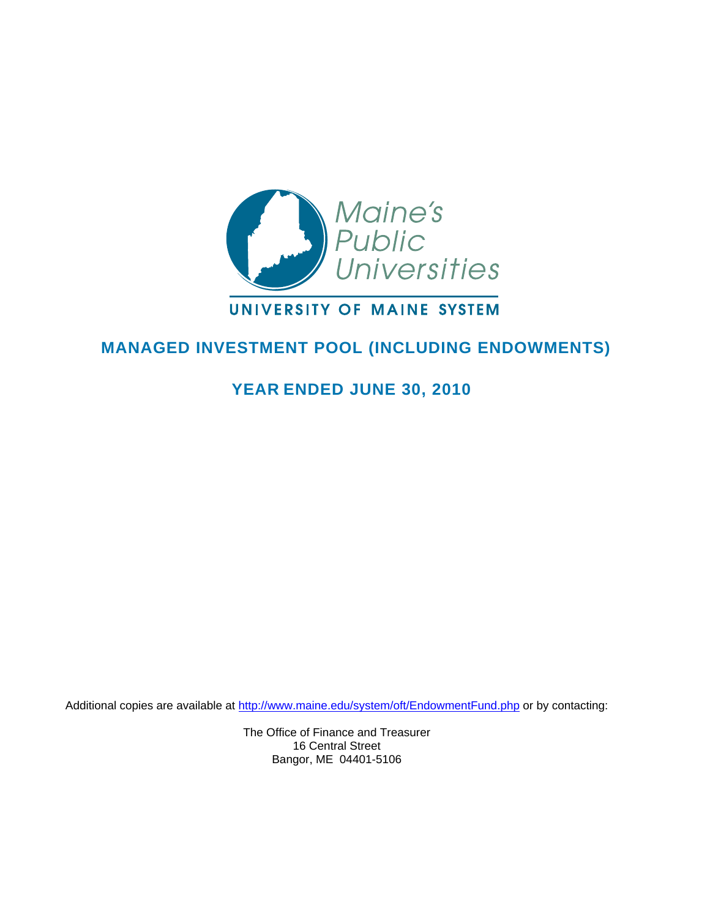

### UNIVERSITY OF MAINE SYSTEM

### **MANAGED INVESTMENT POOL (INCLUDING ENDOWMENTS)**

### **YEAR ENDED JUNE 30, 2010**

Additional copies are available at <http://www.maine.edu/system/oft/EndowmentFund.php> or by contacting:

The Office of Finance and Treasurer 16 Central Street Bangor, ME 04401-5106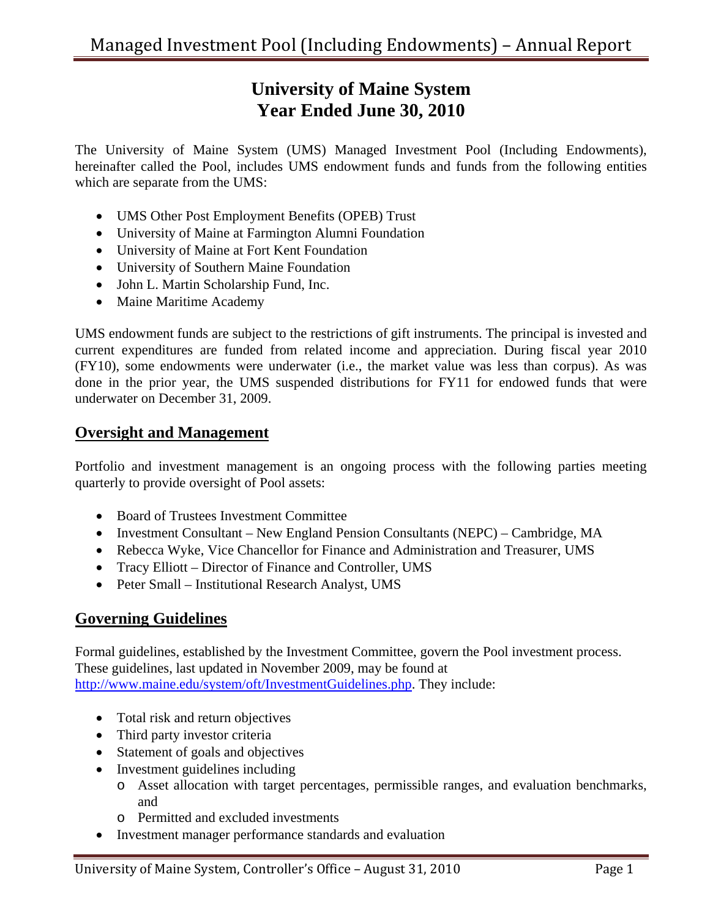# **University of Maine System Year Ended June 30, 2010**

The University of Maine System (UMS) Managed Investment Pool (Including Endowments), hereinafter called the Pool, includes UMS endowment funds and funds from the following entities which are separate from the UMS:

- UMS Other Post Employment Benefits (OPEB) Trust
- University of Maine at Farmington Alumni Foundation
- University of Maine at Fort Kent Foundation
- University of Southern Maine Foundation
- John L. Martin Scholarship Fund, Inc.
- Maine Maritime Academy

UMS endowment funds are subject to the restrictions of gift instruments. The principal is invested and current expenditures are funded from related income and appreciation. During fiscal year 2010 (FY10), some endowments were underwater (i.e., the market value was less than corpus). As was done in the prior year, the UMS suspended distributions for FY11 for endowed funds that were underwater on December 31, 2009.

#### **Oversight and Management**

Portfolio and investment management is an ongoing process with the following parties meeting quarterly to provide oversight of Pool assets:

- Board of Trustees Investment Committee
- Investment Consultant New England Pension Consultants (NEPC) Cambridge, MA
- Rebecca Wyke, Vice Chancellor for Finance and Administration and Treasurer, UMS
- Tracy Elliott Director of Finance and Controller, UMS
- Peter Small Institutional Research Analyst, UMS

#### **Governing Guidelines**

Formal guidelines, established by the Investment Committee, govern the Pool investment process. These guidelines, last updated in November 2009, may be found at <http://www.maine.edu/system/oft/InvestmentGuidelines.php>. They include:

- Total risk and return objectives
- Third party investor criteria
- Statement of goals and objectives
- Investment guidelines including
	- o Asset allocation with target percentages, permissible ranges, and evaluation benchmarks, and
	- o Permitted and excluded investments
- Investment manager performance standards and evaluation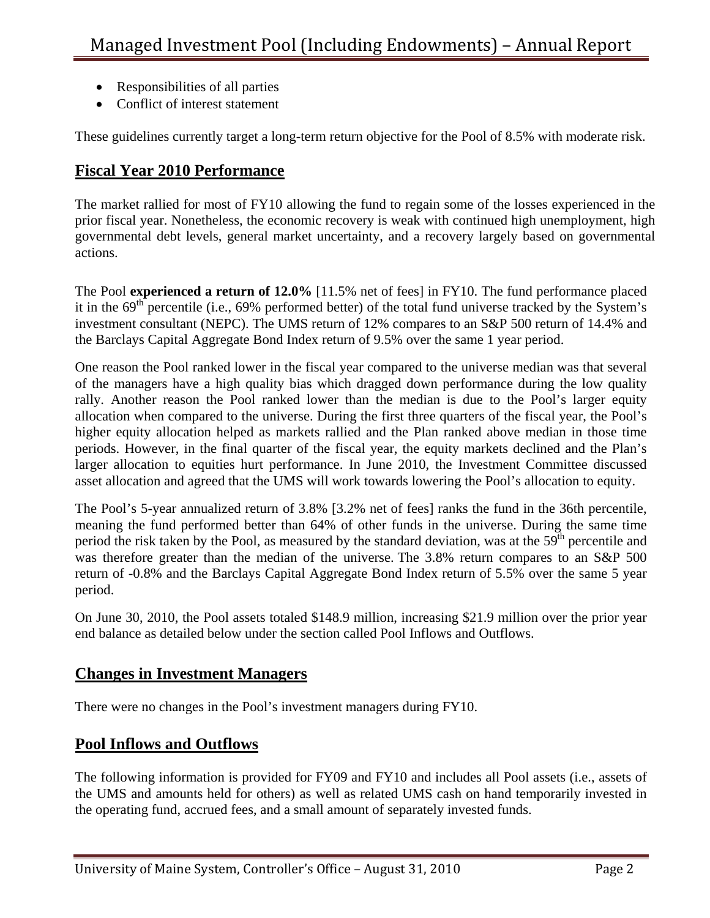- Responsibilities of all parties
- Conflict of interest statement

These guidelines currently target a long-term return objective for the Pool of 8.5% with moderate risk.

### **Fiscal Year 2010 Performance**

The market rallied for most of FY10 allowing the fund to regain some of the losses experienced in the prior fiscal year. Nonetheless, the economic recovery is weak with continued high unemployment, high governmental debt levels, general market uncertainty, and a recovery largely based on governmental actions.

The Pool **experienced a return of 12.0%** [11.5% net of fees] in FY10. The fund performance placed it in the  $69<sup>th</sup>$  percentile (i.e., 69% performed better) of the total fund universe tracked by the System's investment consultant (NEPC). The UMS return of 12% compares to an S&P 500 return of 14.4% and the Barclays Capital Aggregate Bond Index return of 9.5% over the same 1 year period.

One reason the Pool ranked lower in the fiscal year compared to the universe median was that several of the managers have a high quality bias which dragged down performance during the low quality rally. Another reason the Pool ranked lower than the median is due to the Pool's larger equity allocation when compared to the universe. During the first three quarters of the fiscal year, the Pool's higher equity allocation helped as markets rallied and the Plan ranked above median in those time periods. However, in the final quarter of the fiscal year, the equity markets declined and the Plan's larger allocation to equities hurt performance. In June 2010, the Investment Committee discussed asset allocation and agreed that the UMS will work towards lowering the Pool's allocation to equity.

The Pool's 5-year annualized return of 3.8% [3.2% net of fees] ranks the fund in the 36th percentile, meaning the fund performed better than 64% of other funds in the universe. During the same time period the risk taken by the Pool, as measured by the standard deviation, was at the 59<sup>th</sup> percentile and was therefore greater than the median of the universe. The 3.8% return compares to an S&P 500 return of -0.8% and the Barclays Capital Aggregate Bond Index return of 5.5% over the same 5 year period.

On June 30, 2010, the Pool assets totaled \$148.9 million, increasing \$21.9 million over the prior year end balance as detailed below under the section called Pool Inflows and Outflows.

#### **Changes in Investment Managers**

There were no changes in the Pool's investment managers during FY10.

### **Pool Inflows and Outflows**

 The following information is provided for FY09 and FY10 and includes all Pool assets (i.e., assets of the UMS and amounts held for others) as well as related UMS cash on hand temporarily invested in the operating fund, accrued fees, and a small amount of separately invested funds.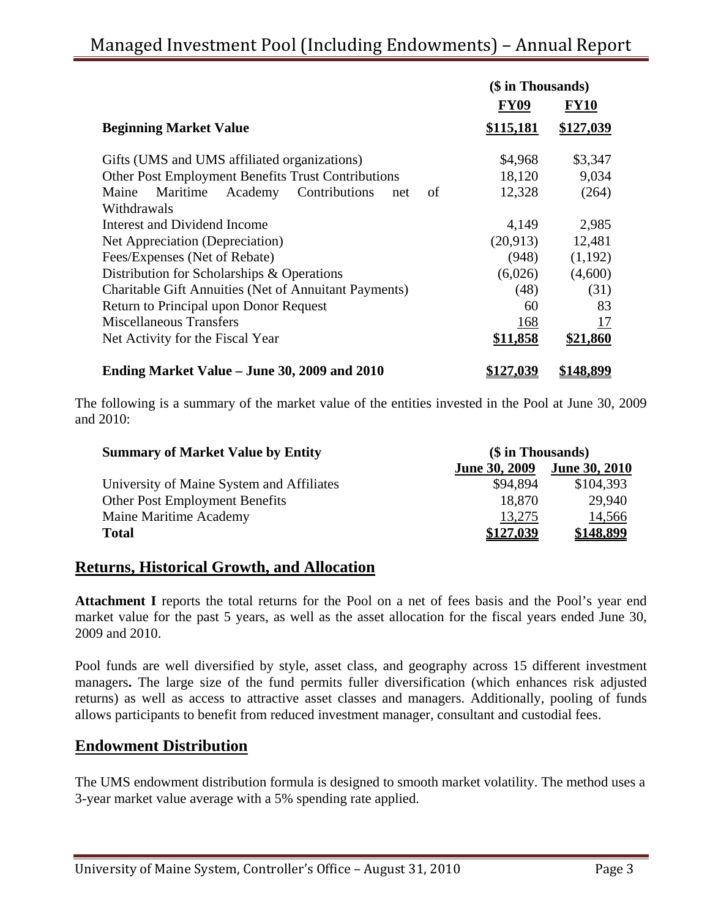|                                                              | (\$ in Thousands) |                  |
|--------------------------------------------------------------|-------------------|------------------|
|                                                              | <b>FY09</b>       | FY10             |
| <b>Beginning Market Value</b>                                | \$115,181         | \$127,039        |
| Gifts (UMS and UMS affiliated organizations)                 | \$4,968           | \$3,347          |
| Other Post Employment Benefits Trust Contributions           | 18,120            | 9,034            |
| Academy<br>Maritime<br>Contributions<br>Maine<br>of<br>net   | 12,328            | (264)            |
| Withdrawals                                                  |                   |                  |
| Interest and Dividend Income                                 | 4,149             | 2,985            |
| Net Appreciation (Depreciation)                              | (20,913)          | 12,481           |
| Fees/Expenses (Net of Rebate)                                | (948)             | (1,192)          |
| Distribution for Scholarships & Operations                   | (6,026)           | (4,600)          |
| <b>Charitable Gift Annuities (Net of Annuitant Payments)</b> | (48)              | (31)             |
| Return to Principal upon Donor Request                       | 60                | 83               |
| Miscellaneous Transfers                                      | 168               | 17               |
| Net Activity for the Fiscal Year                             | \$11,858          | \$21,860         |
| Ending Market Value – June 30, 2009 and 2010                 | <u>\$127,039</u>  | <u>\$148,899</u> |

The following is a summary of the market value of the entities invested in the Pool at June 30, 2009 and 2010:

| <b>Summary of Market Value by Entity</b>  |                      | (\$ in Thousands)    |  |
|-------------------------------------------|----------------------|----------------------|--|
|                                           | <b>June 30, 2009</b> | <b>June 30, 2010</b> |  |
| University of Maine System and Affiliates | \$94.894             | \$104,393            |  |
| <b>Other Post Employment Benefits</b>     | 18,870               | 29,940               |  |
| Maine Maritime Academy                    | 13,275               | 14,566               |  |
| <b>Total</b>                              | \$127,039            | \$148,899            |  |

#### **Returns, Historical Growth, and Allocation**

Attachment I reports the total returns for the Pool on a net of fees basis and the Pool's year end market value for the past 5 years, as well as the asset allocation for the fiscal years ended June 30, 2009 and 2010.

Pool funds are well diversified by style, asset class, and geography across 15 different investment managers**.** The large size of the fund permits fuller diversification (which enhances risk adjusted returns) as well as access to attractive asset classes and managers. Additionally, pooling of funds allows participants to benefit from reduced investment manager, consultant and custodial fees.

#### **Endowment Distribution**

The UMS endowment distribution formula is designed to smooth market volatility. The method uses a 3-year market value average with a 5% spending rate applied.